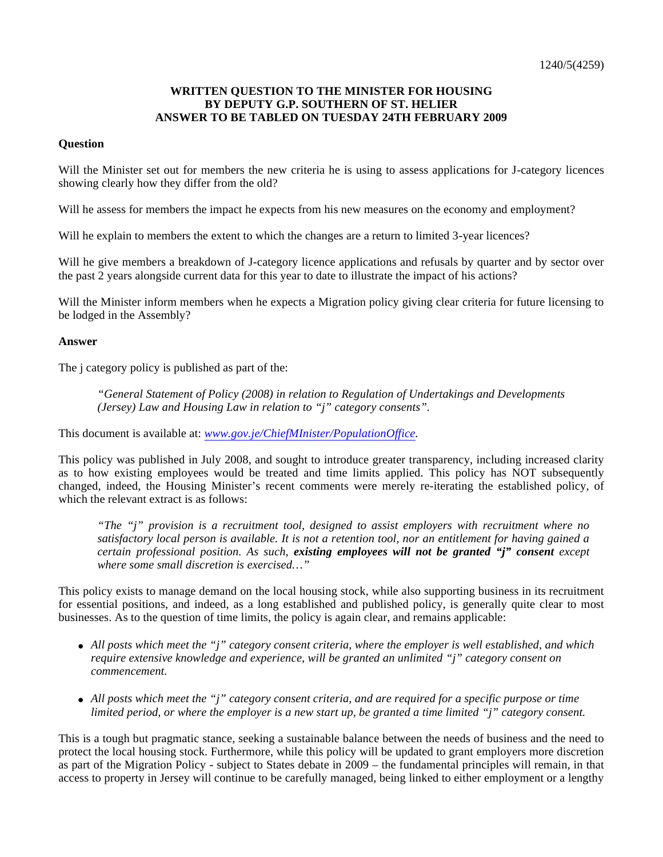## **WRITTEN QUESTION TO THE MINISTER FOR HOUSING BY DEPUTY G.P. SOUTHERN OF ST. HELIER ANSWER TO BE TABLED ON TUESDAY 24TH FEBRUARY 2009**

## **Question**

Will the Minister set out for members the new criteria he is using to assess applications for J-category licences showing clearly how they differ from the old?

Will he assess for members the impact he expects from his new measures on the economy and employment?

Will he explain to members the extent to which the changes are a return to limited 3-year licences?

Will he give members a breakdown of J-category licence applications and refusals by quarter and by sector over the past 2 years alongside current data for this year to date to illustrate the impact of his actions?

Will the Minister inform members when he expects a Migration policy giving clear criteria for future licensing to be lodged in the Assembly?

## **Answer**

The j category policy is published as part of the:

*"General Statement of Policy (2008) in relation to Regulation of Undertakings and Developments (Jersey) Law and Housing Law in relation to "j" category consents".*

This document is available at: *[www.gov.je/ChiefMInister/PopulationOffice.](www.gov.je/ChiefMInister/PopulationOffice)*

This policy was published in July 2008, and sought to introduce greater transparency, including increased clarity as to how existing employees would be treated and time limits applied. This policy has NOT subsequently changed, indeed, the Housing Minister's recent comments were merely re-iterating the established policy, of which the relevant extract is as follows:

*"The "j" provision is a recruitment tool, designed to assist employers with recruitment where no satisfactory local person is available. It is not a retention tool, nor an entitlement for having gained a certain professional position. As such, existing employees will not be granted "j" consent except where some small discretion is exercised…"*

This policy exists to manage demand on the local housing stock, while also supporting business in its recruitment for essential positions, and indeed, as a long established and published policy, is generally quite clear to most businesses. As to the question of time limits, the policy is again clear, and remains applicable:

- *All posts which meet the "j" category consent criteria, where the employer is well established, and which require extensive knowledge and experience, will be granted an unlimited "j" category consent on commencement.*
- *All posts which meet the "j" category consent criteria, and are required for a specific purpose or time limited period, or where the employer is a new start up, be granted a time limited "j" category consent.*

This is a tough but pragmatic stance, seeking a sustainable balance between the needs of business and the need to protect the local housing stock. Furthermore, while this policy will be updated to grant employers more discretion as part of the Migration Policy - subject to States debate in 2009 – the fundamental principles will remain, in that access to property in Jersey will continue to be carefully managed, being linked to either employment or a lengthy